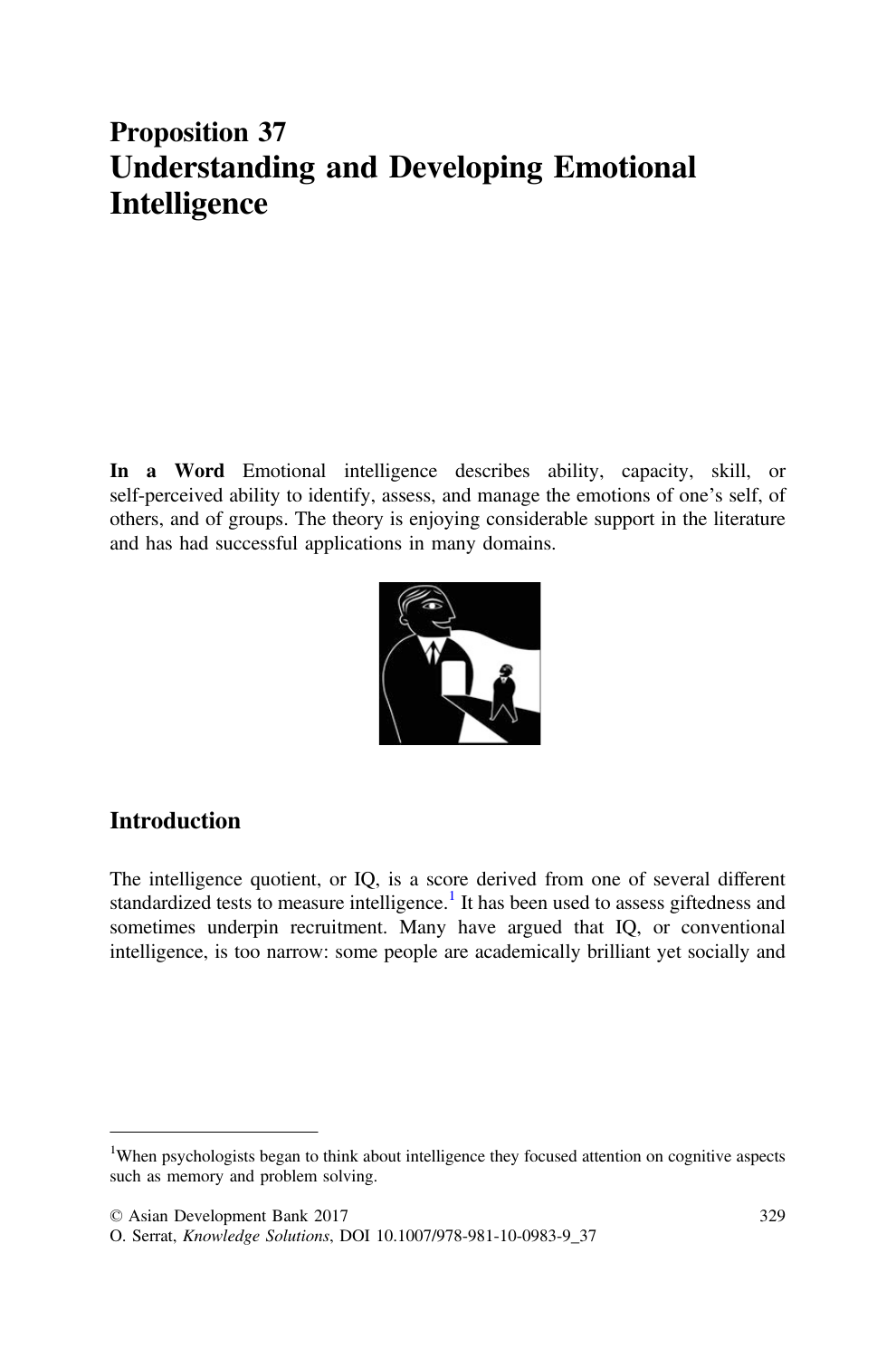# Proposition 37 Understanding and Developing Emotional Intelligence

In a Word Emotional intelligence describes ability, capacity, skill, or self-perceived ability to identify, assess, and manage the emotions of one's self, of others, and of groups. The theory is enjoying considerable support in the literature and has had successful applications in many domains.



# Introduction

The intelligence quotient, or IQ, is a score derived from one of several different standardized tests to measure intelligence.<sup>1</sup> It has been used to assess giftedness and sometimes underpin recruitment. Many have argued that IQ, or conventional intelligence, is too narrow: some people are academically brilliant yet socially and

<sup>&</sup>lt;sup>1</sup>When psychologists began to think about intelligence they focused attention on cognitive aspects such as memory and problem solving.

<sup>©</sup> Asian Development Bank 2017

O. Serrat, Knowledge Solutions, DOI 10.1007/978-981-10-0983-9\_37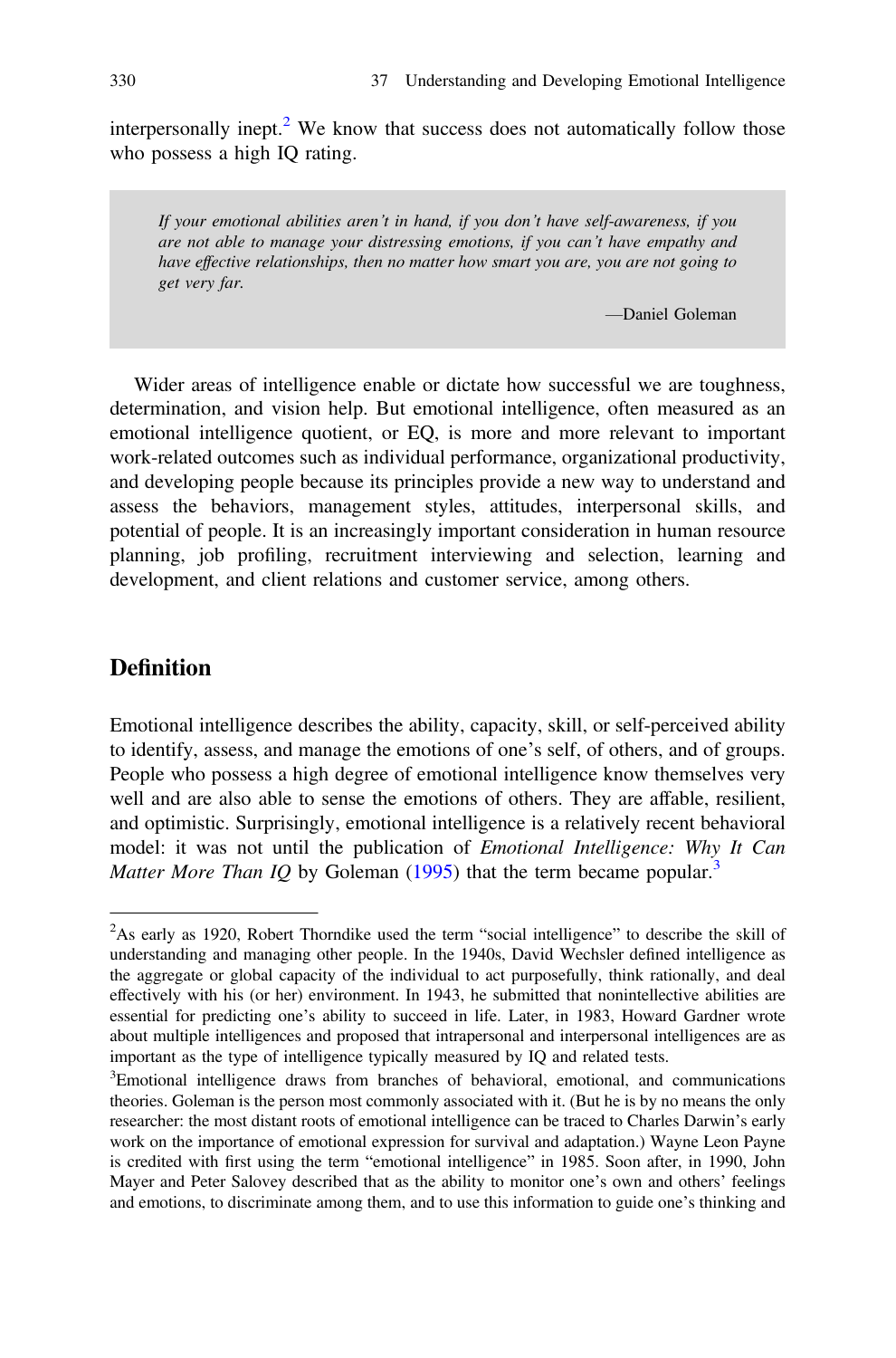interpersonally inept. $^2$  We know that success does not automatically follow those who possess a high IQ rating.

If your emotional abilities aren't in hand, if you don't have self-awareness, if you are not able to manage your distressing emotions, if you can't have empathy and have effective relationships, then no matter how smart you are, you are not going to get very far.

—Daniel Goleman

Wider areas of intelligence enable or dictate how successful we are toughness, determination, and vision help. But emotional intelligence, often measured as an emotional intelligence quotient, or EQ, is more and more relevant to important work-related outcomes such as individual performance, organizational productivity, and developing people because its principles provide a new way to understand and assess the behaviors, management styles, attitudes, interpersonal skills, and potential of people. It is an increasingly important consideration in human resource planning, job profiling, recruitment interviewing and selection, learning and development, and client relations and customer service, among others.

### **Definition**

Emotional intelligence describes the ability, capacity, skill, or self-perceived ability to identify, assess, and manage the emotions of one's self, of others, and of groups. People who possess a high degree of emotional intelligence know themselves very well and are also able to sense the emotions of others. They are affable, resilient, and optimistic. Surprisingly, emotional intelligence is a relatively recent behavioral model: it was not until the publication of *Emotional Intelligence: Why It Can Matter More Than IQ* by Goleman  $(1995)$  $(1995)$  that the term became popular.<sup>3</sup>

<sup>&</sup>lt;sup>2</sup>As early as 1920, Robert Thorndike used the term "social intelligence" to describe the skill of understanding and managing other people. In the 1940s, David Wechsler defined intelligence as the aggregate or global capacity of the individual to act purposefully, think rationally, and deal effectively with his (or her) environment. In 1943, he submitted that nonintellective abilities are essential for predicting one's ability to succeed in life. Later, in 1983, Howard Gardner wrote about multiple intelligences and proposed that intrapersonal and interpersonal intelligences are as important as the type of intelligence typically measured by IQ and related tests.

<sup>&</sup>lt;sup>3</sup>Emotional intelligence draws from branches of behavioral, emotional, and communications theories. Goleman is the person most commonly associated with it. (But he is by no means the only researcher: the most distant roots of emotional intelligence can be traced to Charles Darwin's early work on the importance of emotional expression for survival and adaptation.) Wayne Leon Payne is credited with first using the term "emotional intelligence" in 1985. Soon after, in 1990, John Mayer and Peter Salovey described that as the ability to monitor one's own and others' feelings and emotions, to discriminate among them, and to use this information to guide one's thinking and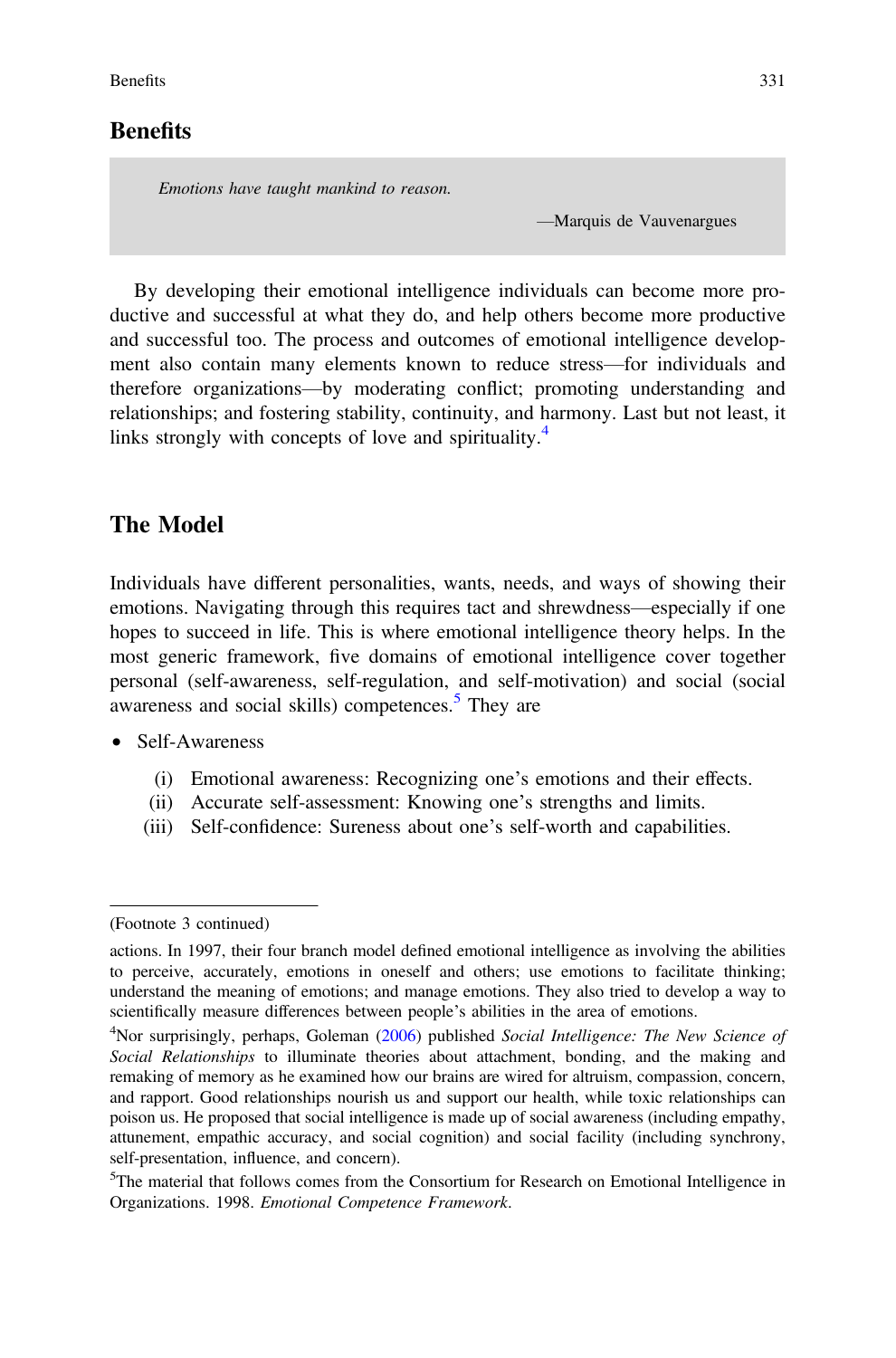#### Benefits 331

## **Benefits**

Emotions have taught mankind to reason.

—Marquis de Vauvenargues

By developing their emotional intelligence individuals can become more productive and successful at what they do, and help others become more productive and successful too. The process and outcomes of emotional intelligence development also contain many elements known to reduce stress—for individuals and therefore organizations—by moderating conflict; promoting understanding and relationships; and fostering stability, continuity, and harmony. Last but not least, it links strongly with concepts of love and spirituality.<sup>4</sup>

## The Model

Individuals have different personalities, wants, needs, and ways of showing their emotions. Navigating through this requires tact and shrewdness—especially if one hopes to succeed in life. This is where emotional intelligence theory helps. In the most generic framework, five domains of emotional intelligence cover together personal (self-awareness, self-regulation, and self-motivation) and social (social awareness and social skills) competences.<sup>5</sup> They are

#### • Self-Awareness

- (i) Emotional awareness: Recognizing one's emotions and their effects.
- (ii) Accurate self-assessment: Knowing one's strengths and limits.
- (iii) Self-confidence: Sureness about one's self-worth and capabilities.

<sup>(</sup>Footnote 3 continued)

actions. In 1997, their four branch model defined emotional intelligence as involving the abilities to perceive, accurately, emotions in oneself and others; use emotions to facilitate thinking; understand the meaning of emotions; and manage emotions. They also tried to develop a way to scientifically measure differences between people's abilities in the area of emotions.

<sup>&</sup>lt;sup>4</sup>Nor surprisingly, perhaps, Goleman [\(2006](#page-9-0)) published Social Intelligence: The New Science of Social Relationships to illuminate theories about attachment, bonding, and the making and remaking of memory as he examined how our brains are wired for altruism, compassion, concern, and rapport. Good relationships nourish us and support our health, while toxic relationships can poison us. He proposed that social intelligence is made up of social awareness (including empathy, attunement, empathic accuracy, and social cognition) and social facility (including synchrony, self-presentation, influence, and concern).

<sup>&</sup>lt;sup>5</sup>The material that follows comes from the Consortium for Research on Emotional Intelligence in Organizations. 1998. Emotional Competence Framework.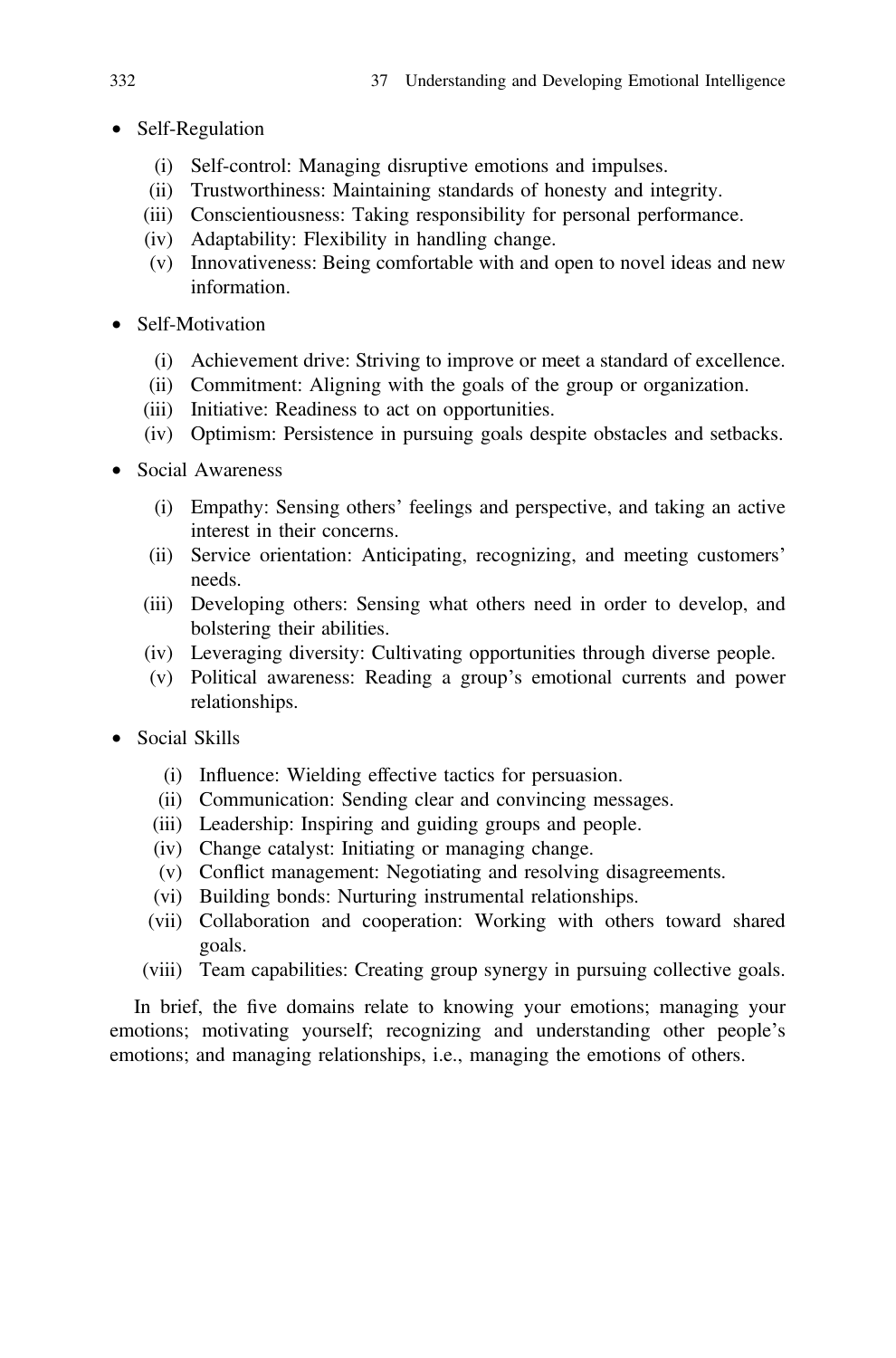- Self-Regulation
	- (i) Self-control: Managing disruptive emotions and impulses.
	- (ii) Trustworthiness: Maintaining standards of honesty and integrity.
	- (iii) Conscientiousness: Taking responsibility for personal performance.
	- (iv) Adaptability: Flexibility in handling change.
	- (v) Innovativeness: Being comfortable with and open to novel ideas and new information.
- Self-Motivation
	- (i) Achievement drive: Striving to improve or meet a standard of excellence.
	- (ii) Commitment: Aligning with the goals of the group or organization.
	- (iii) Initiative: Readiness to act on opportunities.
	- (iv) Optimism: Persistence in pursuing goals despite obstacles and setbacks.
- Social Awareness
	- (i) Empathy: Sensing others' feelings and perspective, and taking an active interest in their concerns.
	- (ii) Service orientation: Anticipating, recognizing, and meeting customers' needs.
	- (iii) Developing others: Sensing what others need in order to develop, and bolstering their abilities.
	- (iv) Leveraging diversity: Cultivating opportunities through diverse people.
	- (v) Political awareness: Reading a group's emotional currents and power relationships.
- Social Skills
	- (i) Influence: Wielding effective tactics for persuasion.
	- (ii) Communication: Sending clear and convincing messages.
	- (iii) Leadership: Inspiring and guiding groups and people.
	- (iv) Change catalyst: Initiating or managing change.
	- (v) Conflict management: Negotiating and resolving disagreements.
	- (vi) Building bonds: Nurturing instrumental relationships.
	- (vii) Collaboration and cooperation: Working with others toward shared goals.
	- (viii) Team capabilities: Creating group synergy in pursuing collective goals.

In brief, the five domains relate to knowing your emotions; managing your emotions; motivating yourself; recognizing and understanding other people's emotions; and managing relationships, i.e., managing the emotions of others.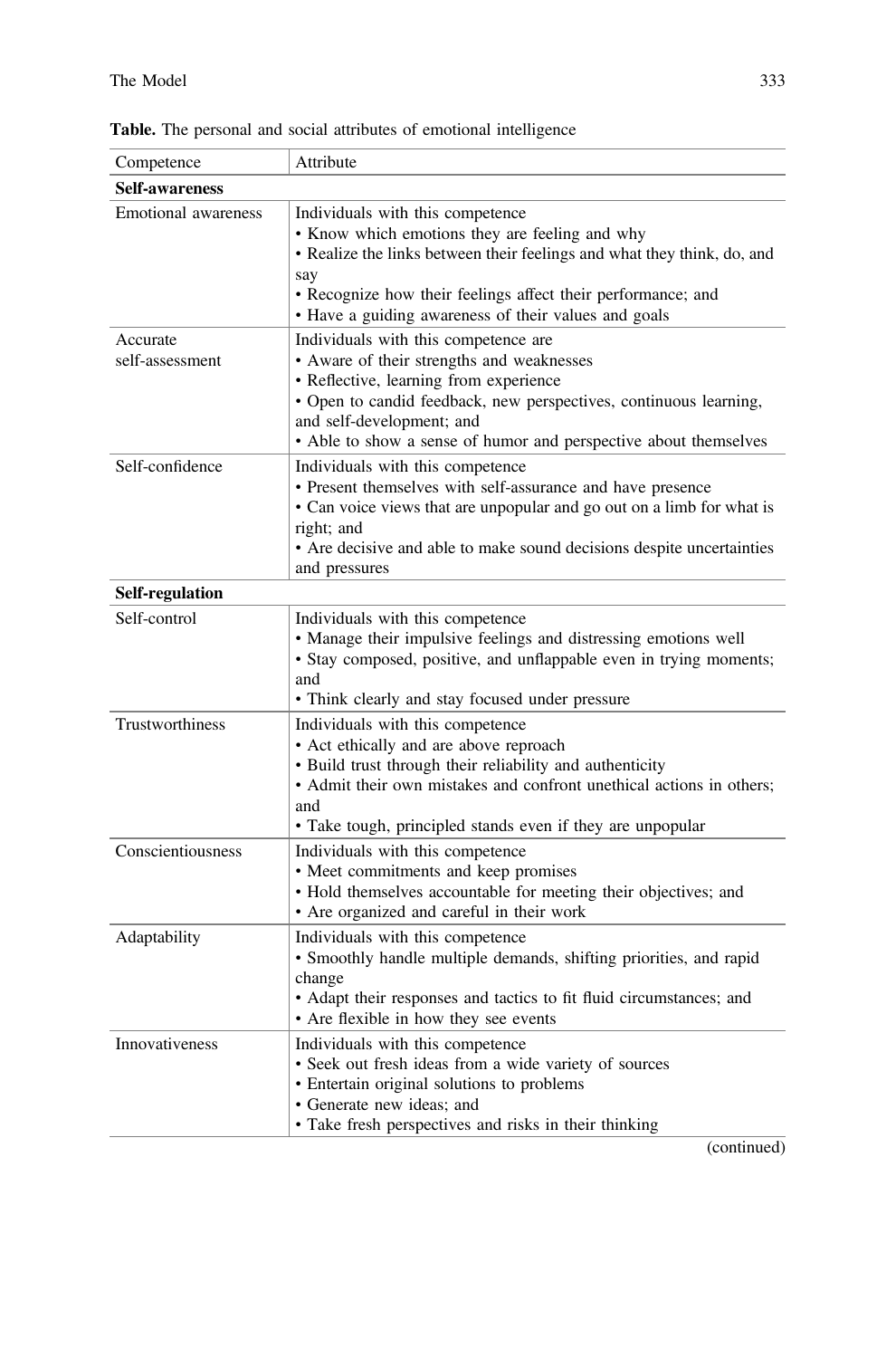| Competence                  | Attribute                                                                                                                                                                                                                                                                                         |  |
|-----------------------------|---------------------------------------------------------------------------------------------------------------------------------------------------------------------------------------------------------------------------------------------------------------------------------------------------|--|
| <b>Self-awareness</b>       |                                                                                                                                                                                                                                                                                                   |  |
| Emotional awareness         | Individuals with this competence<br>• Know which emotions they are feeling and why<br>• Realize the links between their feelings and what they think, do, and<br>say<br>· Recognize how their feelings affect their performance; and<br>• Have a guiding awareness of their values and goals      |  |
| Accurate<br>self-assessment | Individuals with this competence are<br>• Aware of their strengths and weaknesses<br>· Reflective, learning from experience<br>· Open to candid feedback, new perspectives, continuous learning,<br>and self-development; and<br>• Able to show a sense of humor and perspective about themselves |  |
| Self-confidence             | Individuals with this competence<br>· Present themselves with self-assurance and have presence<br>• Can voice views that are unpopular and go out on a limb for what is<br>right; and<br>• Are decisive and able to make sound decisions despite uncertainties<br>and pressures                   |  |
| <b>Self-regulation</b>      |                                                                                                                                                                                                                                                                                                   |  |
| Self-control                | Individuals with this competence<br>• Manage their impulsive feelings and distressing emotions well<br>· Stay composed, positive, and unflappable even in trying moments;<br>and<br>• Think clearly and stay focused under pressure                                                               |  |
| Trustworthiness             | Individuals with this competence<br>• Act ethically and are above reproach<br>• Build trust through their reliability and authenticity<br>• Admit their own mistakes and confront unethical actions in others;<br>and<br>· Take tough, principled stands even if they are unpopular               |  |
| Conscientiousness           | Individuals with this competence<br>• Meet commitments and keep promises<br>· Hold themselves accountable for meeting their objectives; and<br>• Are organized and careful in their work                                                                                                          |  |
| Adaptability                | Individuals with this competence<br>• Smoothly handle multiple demands, shifting priorities, and rapid<br>change<br>• Adapt their responses and tactics to fit fluid circumstances; and<br>• Are flexible in how they see events                                                                  |  |
| <b>Innovativeness</b>       | Individuals with this competence<br>• Seek out fresh ideas from a wide variety of sources<br>• Entertain original solutions to problems<br>• Generate new ideas; and<br>• Take fresh perspectives and risks in their thinking                                                                     |  |

Table. The personal and social attributes of emotional intelligence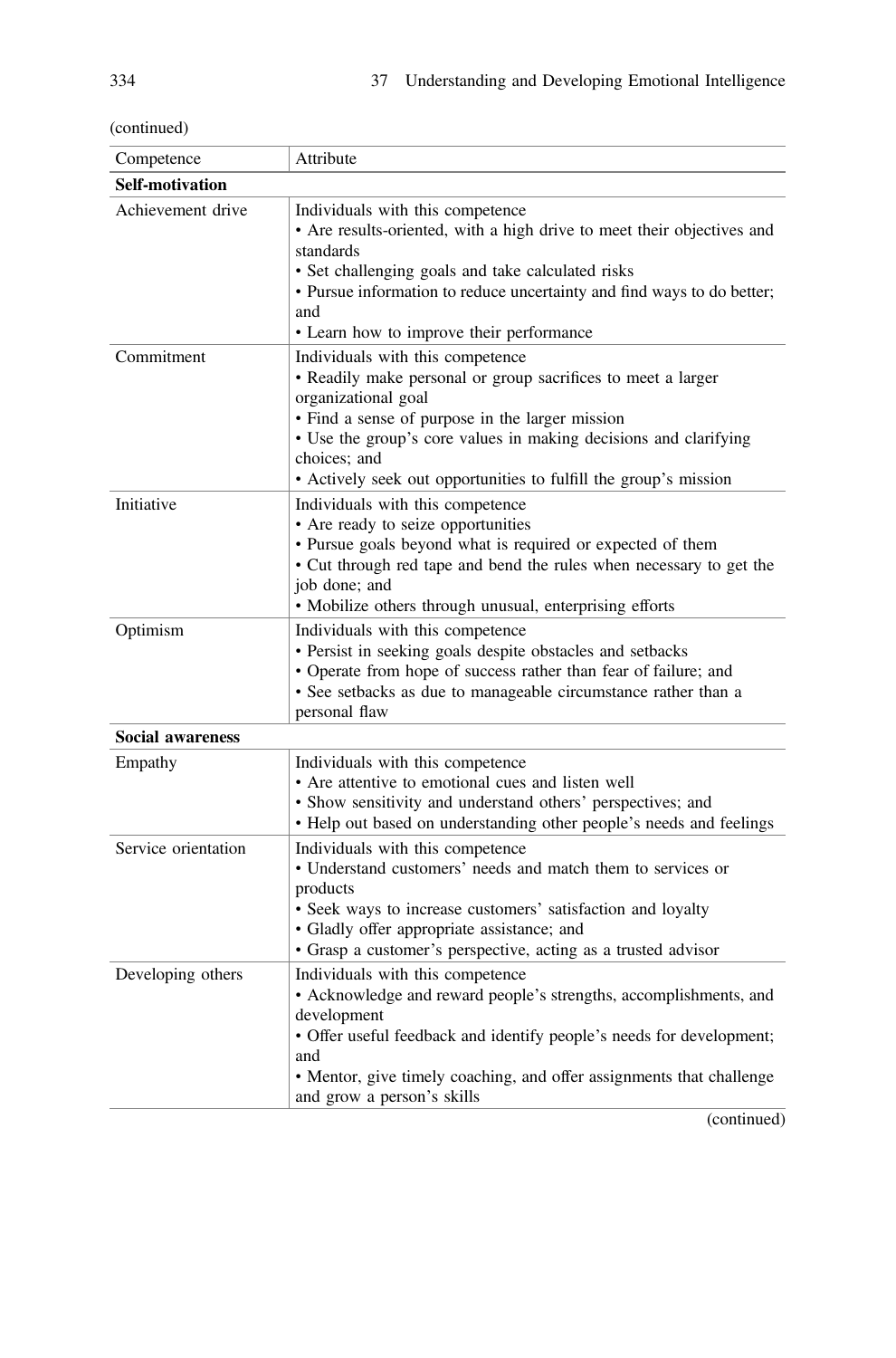| (continued) |
|-------------|
|-------------|

| Competence              | Attribute                                                                                                                                                                                                                                                                                                                          |  |
|-------------------------|------------------------------------------------------------------------------------------------------------------------------------------------------------------------------------------------------------------------------------------------------------------------------------------------------------------------------------|--|
| <b>Self-motivation</b>  |                                                                                                                                                                                                                                                                                                                                    |  |
| Achievement drive       | Individuals with this competence<br>• Are results-oriented, with a high drive to meet their objectives and<br>standards<br>• Set challenging goals and take calculated risks<br>• Pursue information to reduce uncertainty and find ways to do better;<br>and<br>• Learn how to improve their performance                          |  |
| Commitment              | Individuals with this competence<br>• Readily make personal or group sacrifices to meet a larger<br>organizational goal<br>• Find a sense of purpose in the larger mission<br>• Use the group's core values in making decisions and clarifying<br>choices: and<br>• Actively seek out opportunities to fulfill the group's mission |  |
| Initiative              | Individuals with this competence<br>• Are ready to seize opportunities<br>• Pursue goals beyond what is required or expected of them<br>• Cut through red tape and bend the rules when necessary to get the<br>job done; and<br>• Mobilize others through unusual, enterprising efforts                                            |  |
| Optimism                | Individuals with this competence<br>• Persist in seeking goals despite obstacles and setbacks<br>• Operate from hope of success rather than fear of failure; and<br>• See setbacks as due to manageable circumstance rather than a<br>personal flaw                                                                                |  |
| <b>Social awareness</b> |                                                                                                                                                                                                                                                                                                                                    |  |
| Empathy                 | Individuals with this competence<br>• Are attentive to emotional cues and listen well<br>· Show sensitivity and understand others' perspectives; and<br>• Help out based on understanding other people's needs and feelings                                                                                                        |  |
| Service orientation     | Individuals with this competence<br>• Understand customers' needs and match them to services or<br>products<br>• Seek ways to increase customers' satisfaction and loyalty<br>• Gladly offer appropriate assistance; and<br>• Grasp a customer's perspective, acting as a trusted advisor                                          |  |
| Developing others       | Individuals with this competence<br>• Acknowledge and reward people's strengths, accomplishments, and<br>development<br>• Offer useful feedback and identify people's needs for development;<br>and<br>• Mentor, give timely coaching, and offer assignments that challenge<br>and grow a person's skills                          |  |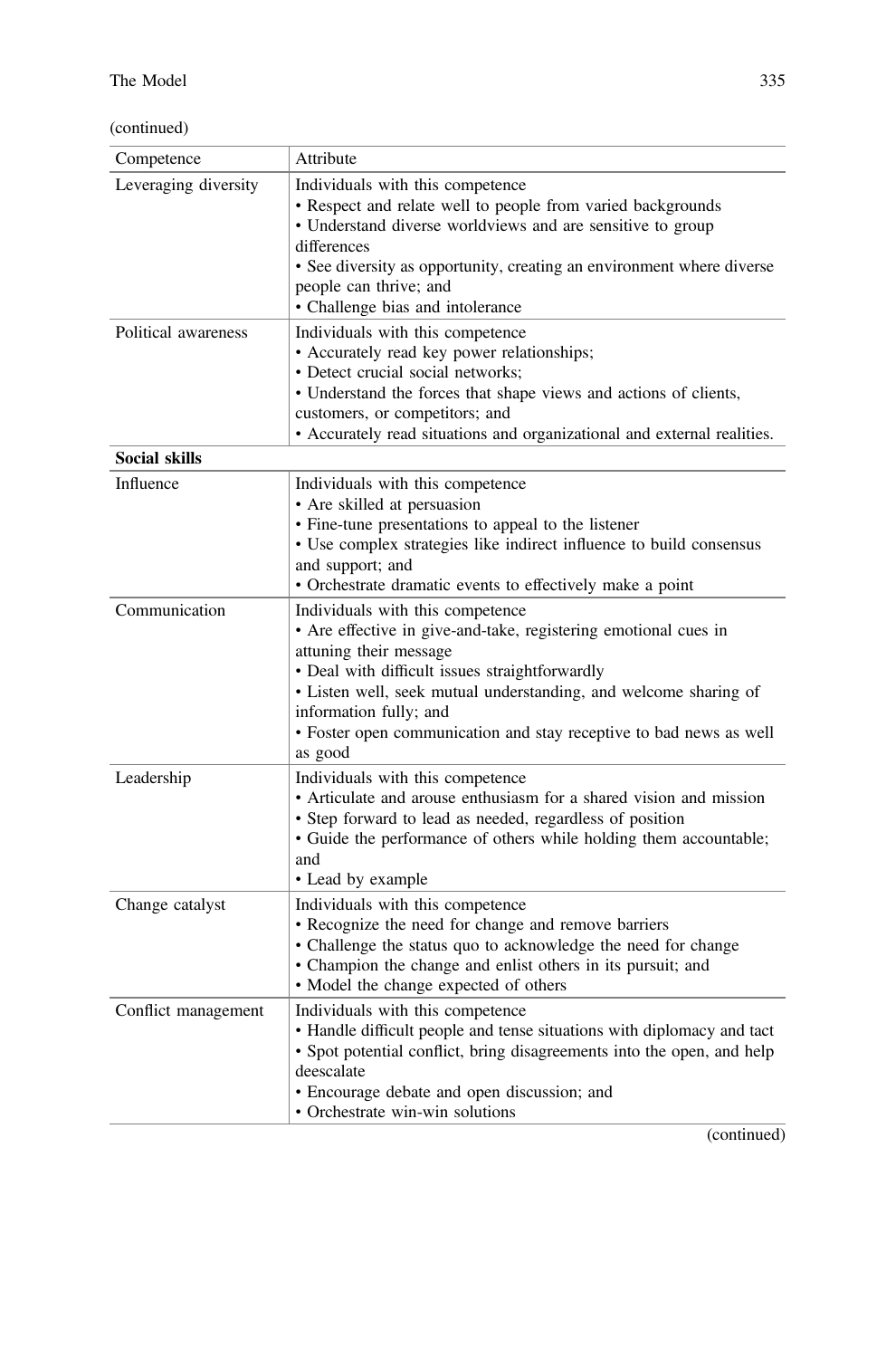| (continued) |
|-------------|
|-------------|

| Competence           | Attribute                                                                                                                                                                                                                                                                                                                                                      |
|----------------------|----------------------------------------------------------------------------------------------------------------------------------------------------------------------------------------------------------------------------------------------------------------------------------------------------------------------------------------------------------------|
| Leveraging diversity | Individuals with this competence<br>• Respect and relate well to people from varied backgrounds<br>· Understand diverse worldviews and are sensitive to group<br>differences<br>• See diversity as opportunity, creating an environment where diverse<br>people can thrive; and<br>• Challenge bias and intolerance                                            |
| Political awareness  | Individuals with this competence<br>• Accurately read key power relationships;<br>• Detect crucial social networks;<br>• Understand the forces that shape views and actions of clients,<br>customers, or competitors; and<br>• Accurately read situations and organizational and external realities.                                                           |
| <b>Social skills</b> |                                                                                                                                                                                                                                                                                                                                                                |
| Influence            | Individuals with this competence<br>• Are skilled at persuasion<br>· Fine-tune presentations to appeal to the listener<br>• Use complex strategies like indirect influence to build consensus<br>and support; and<br>• Orchestrate dramatic events to effectively make a point                                                                                 |
| Communication        | Individuals with this competence<br>• Are effective in give-and-take, registering emotional cues in<br>attuning their message<br>• Deal with difficult issues straightforwardly<br>• Listen well, seek mutual understanding, and welcome sharing of<br>information fully; and<br>• Foster open communication and stay receptive to bad news as well<br>as good |
| Leadership           | Individuals with this competence<br>• Articulate and arouse enthusiasm for a shared vision and mission<br>• Step forward to lead as needed, regardless of position<br>· Guide the performance of others while holding them accountable;<br>and<br>• Lead by example                                                                                            |
| Change catalyst      | Individuals with this competence<br>• Recognize the need for change and remove barriers<br>• Challenge the status quo to acknowledge the need for change<br>• Champion the change and enlist others in its pursuit; and<br>• Model the change expected of others                                                                                               |
| Conflict management  | Individuals with this competence<br>• Handle difficult people and tense situations with diplomacy and tact<br>• Spot potential conflict, bring disagreements into the open, and help<br>deescalate<br>• Encourage debate and open discussion; and<br>· Orchestrate win-win solutions                                                                           |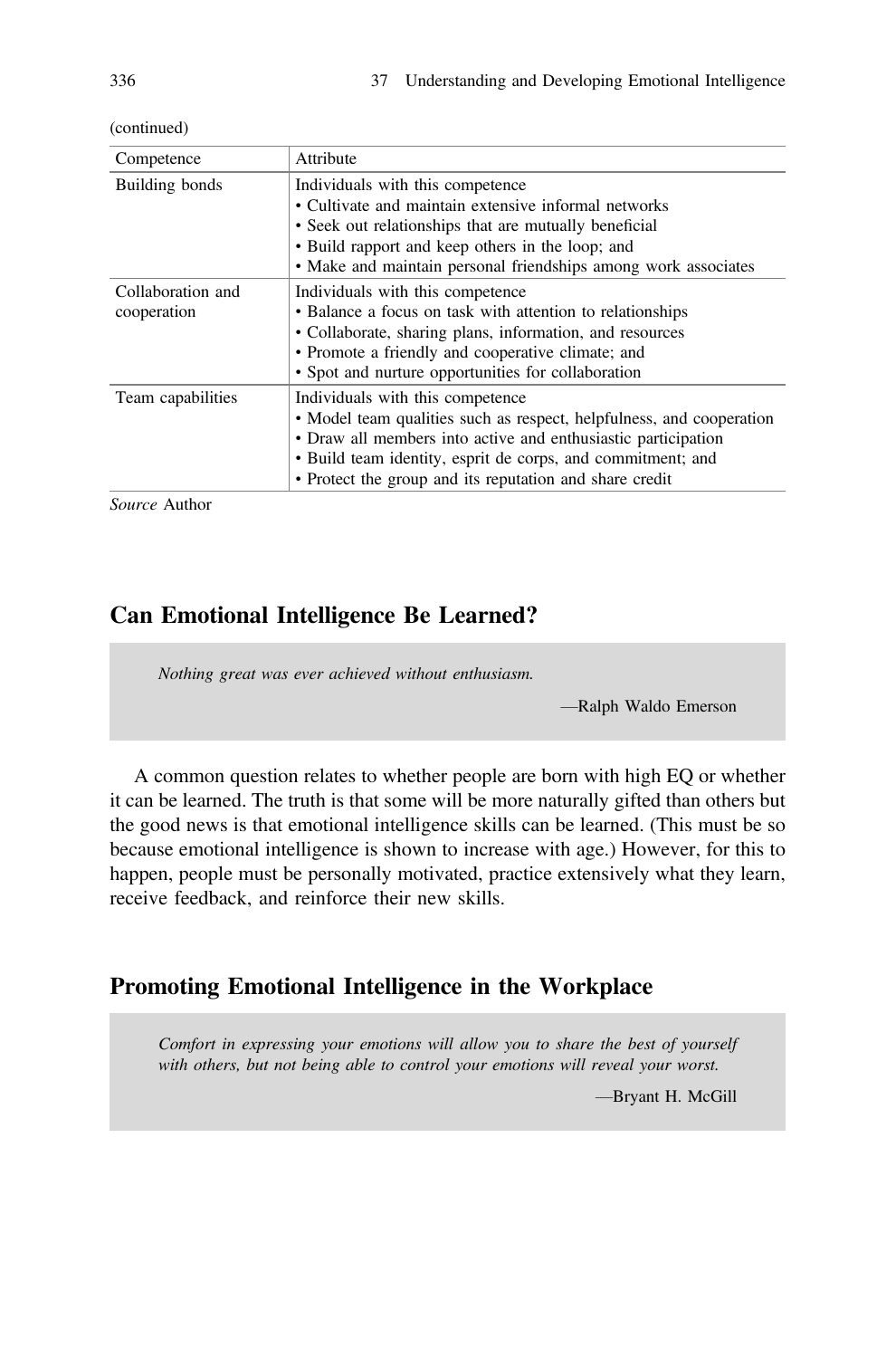| Competence                       | Attribute                                                                                                                                                                                                                                                                                           |
|----------------------------------|-----------------------------------------------------------------------------------------------------------------------------------------------------------------------------------------------------------------------------------------------------------------------------------------------------|
| Building bonds                   | Individuals with this competence<br>• Cultivate and maintain extensive informal networks<br>• Seek out relationships that are mutually beneficial<br>• Build rapport and keep others in the loop; and<br>• Make and maintain personal friendships among work associates                             |
| Collaboration and<br>cooperation | Individuals with this competence<br>• Balance a focus on task with attention to relationships<br>• Collaborate, sharing plans, information, and resources<br>• Promote a friendly and cooperative climate; and<br>• Spot and nurture opportunities for collaboration                                |
| Team capabilities                | Individuals with this competence<br>• Model team qualities such as respect, helpfulness, and cooperation<br>• Draw all members into active and enthusiastic participation<br>• Build team identity, esprit de corps, and commitment; and<br>• Protect the group and its reputation and share credit |

Source Author

## Can Emotional Intelligence Be Learned?

Nothing great was ever achieved without enthusiasm.

—Ralph Waldo Emerson

A common question relates to whether people are born with high EQ or whether it can be learned. The truth is that some will be more naturally gifted than others but the good news is that emotional intelligence skills can be learned. (This must be so because emotional intelligence is shown to increase with age.) However, for this to happen, people must be personally motivated, practice extensively what they learn, receive feedback, and reinforce their new skills.

# Promoting Emotional Intelligence in the Workplace

Comfort in expressing your emotions will allow you to share the best of yourself with others, but not being able to control your emotions will reveal your worst.

—Bryant H. McGill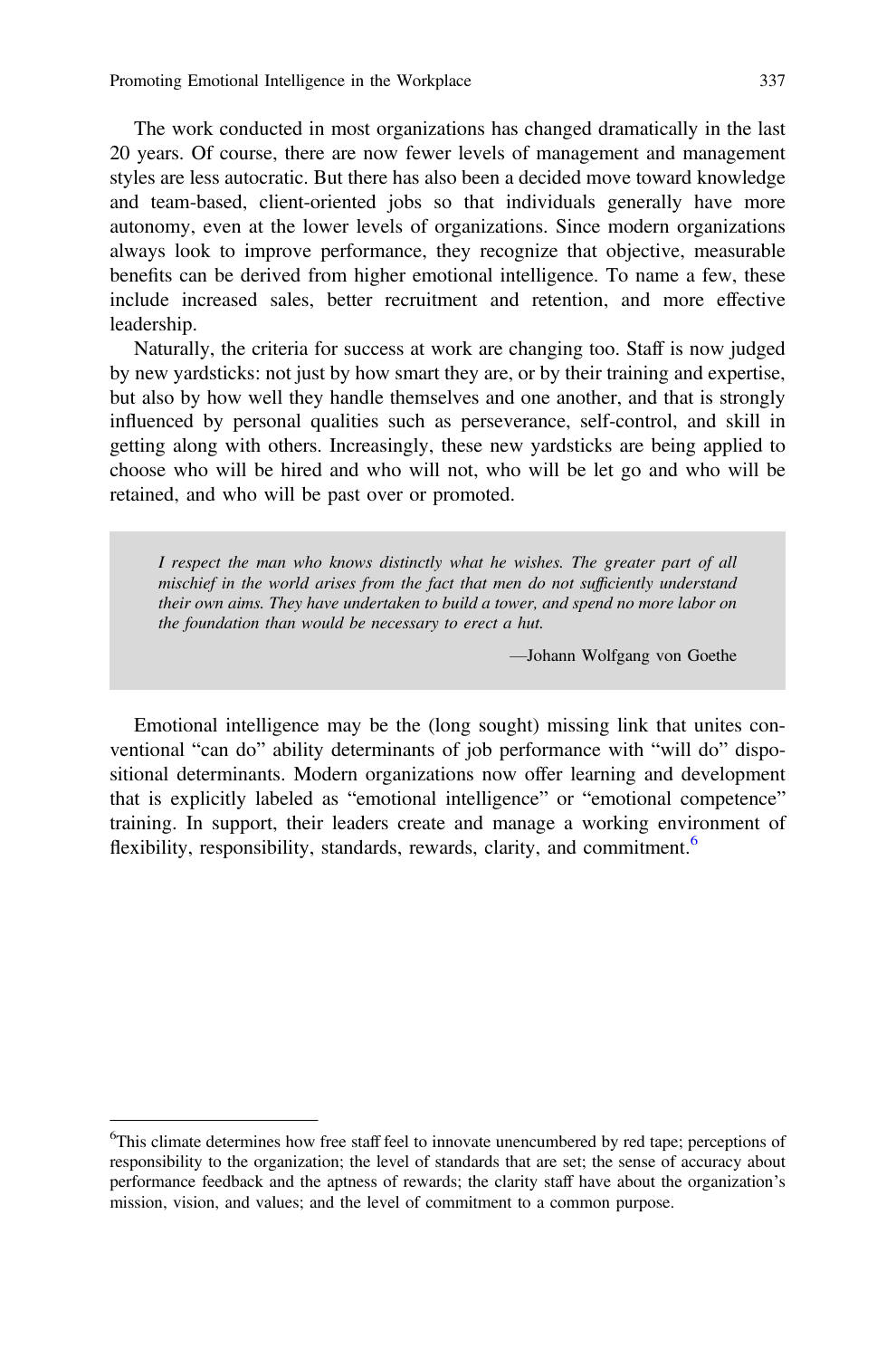Promoting Emotional Intelligence in the Workplace 337

The work conducted in most organizations has changed dramatically in the last 20 years. Of course, there are now fewer levels of management and management styles are less autocratic. But there has also been a decided move toward knowledge and team-based, client-oriented jobs so that individuals generally have more autonomy, even at the lower levels of organizations. Since modern organizations always look to improve performance, they recognize that objective, measurable benefits can be derived from higher emotional intelligence. To name a few, these include increased sales, better recruitment and retention, and more effective leadership.

Naturally, the criteria for success at work are changing too. Staff is now judged by new yardsticks: not just by how smart they are, or by their training and expertise, but also by how well they handle themselves and one another, and that is strongly influenced by personal qualities such as perseverance, self-control, and skill in getting along with others. Increasingly, these new yardsticks are being applied to choose who will be hired and who will not, who will be let go and who will be retained, and who will be past over or promoted.

I respect the man who knows distinctly what he wishes. The greater part of all mischief in the world arises from the fact that men do not sufficiently understand their own aims. They have undertaken to build a tower, and spend no more labor on the foundation than would be necessary to erect a hut.

—Johann Wolfgang von Goethe

Emotional intelligence may be the (long sought) missing link that unites conventional "can do" ability determinants of job performance with "will do" dispositional determinants. Modern organizations now offer learning and development that is explicitly labeled as "emotional intelligence" or "emotional competence" training. In support, their leaders create and manage a working environment of flexibility, responsibility, standards, rewards, clarity, and commitment.<sup>6</sup>

<sup>&</sup>lt;sup>6</sup>This climate determines how free staff feel to innovate unencumbered by red tape; perceptions of responsibility to the organization; the level of standards that are set; the sense of accuracy about performance feedback and the aptness of rewards; the clarity staff have about the organization's mission, vision, and values; and the level of commitment to a common purpose.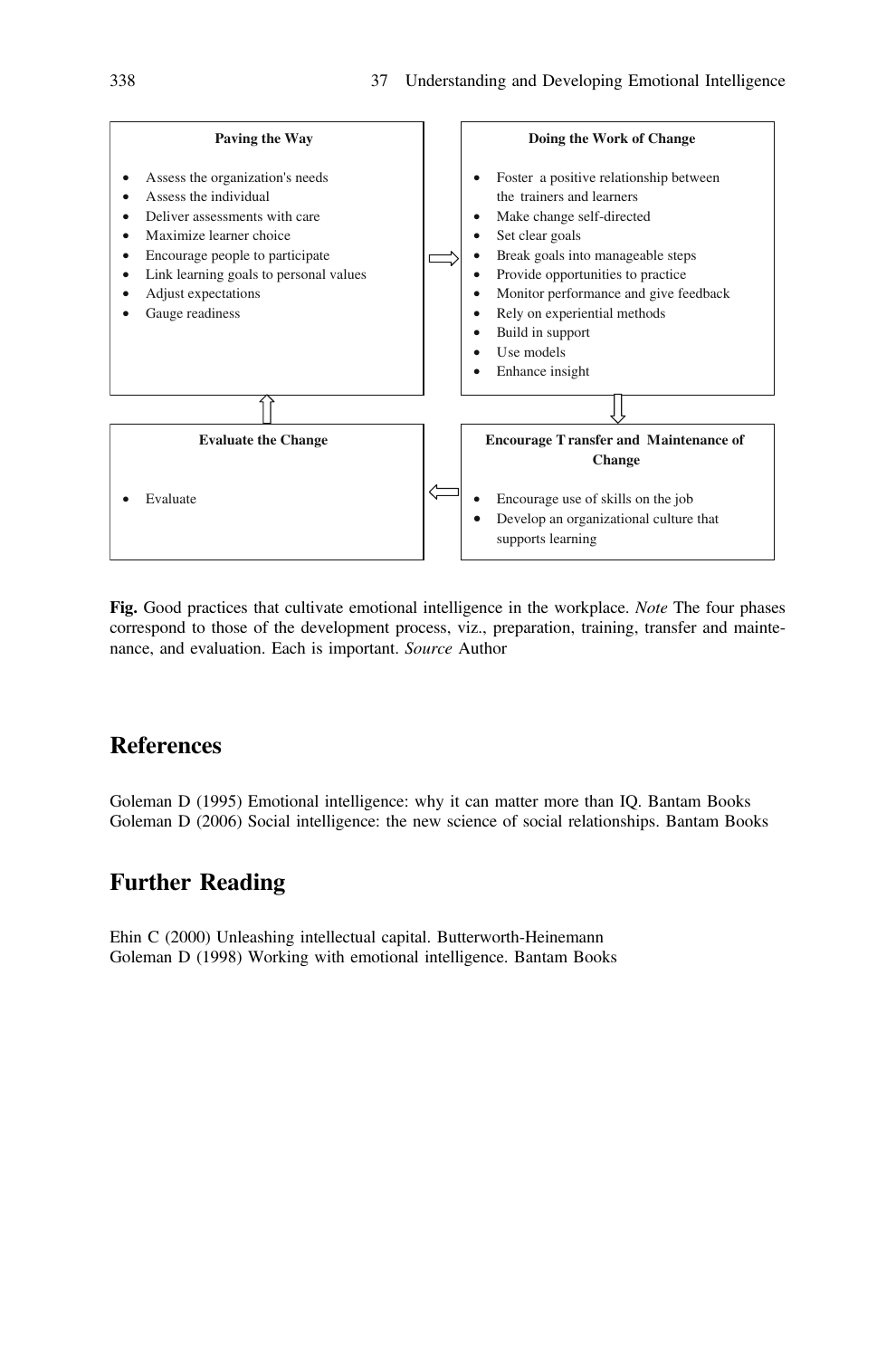<span id="page-9-0"></span>

Fig. Good practices that cultivate emotional intelligence in the workplace. Note The four phases correspond to those of the development process, viz., preparation, training, transfer and maintenance, and evaluation. Each is important. Source Author

### **References**

Goleman D (1995) Emotional intelligence: why it can matter more than IQ. Bantam Books Goleman D (2006) Social intelligence: the new science of social relationships. Bantam Books

# Further Reading

Ehin C (2000) Unleashing intellectual capital. Butterworth-Heinemann Goleman D (1998) Working with emotional intelligence. Bantam Books